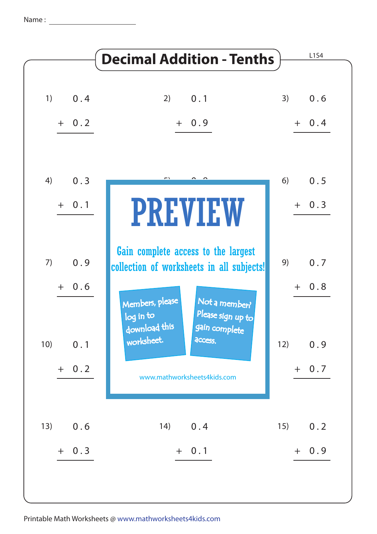